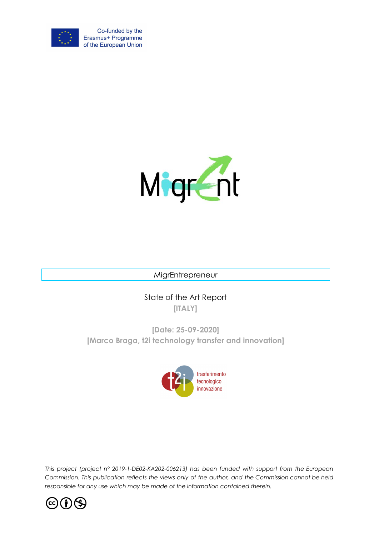



MigrEntrepreneur

State of the Art Report **[ITALY]**

**[Date: 25-09-2020] [Marco Braga, t2i technology transfer and innovation]**



*This project (project n° 2019-1-DE02-KA202-006213) has been funded with support from the European Commission. This publication reflects the views only of the author, and the Commission cannot be held responsible for any use which may be made of the information contained therein.*

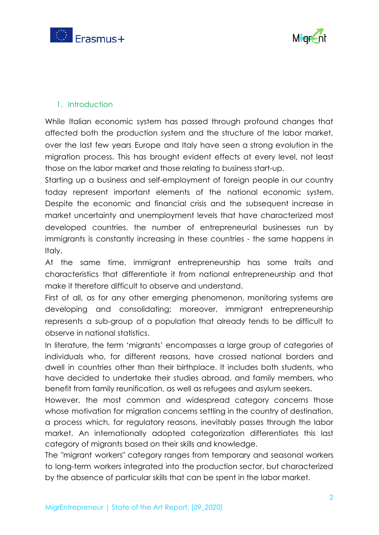



# 1. Introduction

While Italian economic system has passed through profound changes that affected both the production system and the structure of the labor market, over the last few years Europe and Italy have seen a strong evolution in the migration process. This has brought evident effects at every level, not least those on the labor market and those relating to business start-up.

Starting up a business and self-employment of foreign people in our country today represent important elements of the national economic system. Despite the economic and financial crisis and the subsequent increase in market uncertainty and unemployment levels that have characterized most developed countries, the number of entrepreneurial businesses run by immigrants is constantly increasing in these countries - the same happens in Italy.

At the same time, immigrant entrepreneurship has some traits and characteristics that differentiate it from national entrepreneurship and that make it therefore difficult to observe and understand.

First of all, as for any other emerging phenomenon, monitoring systems are developing and consolidating; moreover, immigrant entrepreneurship represents a sub-group of a population that already tends to be difficult to observe in national statistics.

In literature, the term 'migrants' encompasses a large group of categories of individuals who, for different reasons, have crossed national borders and dwell in countries other than their birthplace. It includes both students, who have decided to undertake their studies abroad, and family members, who benefit from family reunification, as well as refugees and asylum seekers.

However, the most common and widespread category concerns those whose motivation for migration concerns settling in the country of destination, a process which, for regulatory reasons, inevitably passes through the labor market. An internationally adopted categorization differentiates this last category of migrants based on their skills and knowledge.

The "migrant workers" category ranges from temporary and seasonal workers to long-term workers integrated into the production sector, but characterized by the absence of particular skills that can be spent in the labor market.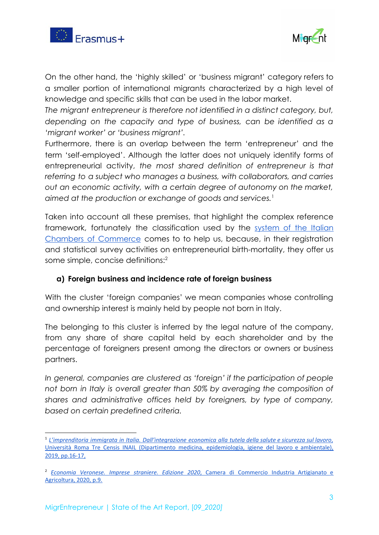



On the other hand, the 'highly skilled' or 'business migrant' category refers to a smaller portion of international migrants characterized by a high level of knowledge and specific skills that can be used in the labor market.

*The migrant entrepreneur is therefore not identified in a distinct category, but, depending on the capacity and type of business, can be identified as a 'migrant worker' or 'business migrant'.*

Furthermore, there is an overlap between the term 'entrepreneur' and the term 'self-employed'. Although the latter does not uniquely identify forms of entrepreneurial activity, *the most shared definition of entrepreneur is that referring to a subject who manages a business, with collaborators, and carries out an economic activity, with a certain degree of autonomy on the market, aimed at the production or exchange of goods and services.*<sup>1</sup>

Taken into account all these premises, that highlight the complex reference framework, fortunately the classification used by the [system](https://www.unioncamere.gov.it/) of the Italian Chambers of [Commerce](https://www.unioncamere.gov.it/) comes to to help us, because, in their registration and statistical survey activities on entrepreneurial birth-mortality, they offer us some simple, concise definitions:<sup>2</sup>

# **a) Foreign business and incidence rate of foreign business**

With the cluster 'foreign companies' we mean companies whose controlling and ownership interest is mainly held by people not born in Italy.

The belonging to this cluster is inferred by the legal nature of the company, from any share of share capital held by each shareholder and by the percentage of foreigners present among the directors or owners or business partners.

*In general, companies are clustered as 'foreign' if the participation of people not born in Italy is overall greater than 50% by averaging the composition of shares and administrative offices held by foreigners, by type of company, based on certain predefined criteria.*

<sup>1</sup> *L'imprenditoria immigrata in Italia. [Dall'integrazione](https://www.censis.it/sites/default/files/downloads/Rapporto_Digital.pdf) economica alla tutela della salute e sicurezza sul lavoro*[,](https://www.censis.it/sites/default/files/downloads/Rapporto_Digital.pdf) Università Roma Tre Censis INAIL (Dipartimento medicina, [epidemiologia,](https://www.censis.it/sites/default/files/downloads/Rapporto_Digital.pdf) igiene del lavoro e ambientale), 2019, [pp.16-17,](https://www.censis.it/sites/default/files/downloads/Rapporto_Digital.pdf)

<sup>2</sup> *Economia [Veronese.](http://www.vr.camcom.it/content/imprese-straniere-0) Imprese straniere. Edizione 2020*, Camera di [Commercio](http://www.vr.camcom.it/content/imprese-straniere-0) Industria Artigianato e [Agricoltura,](http://www.vr.camcom.it/content/imprese-straniere-0) 2020, p.9.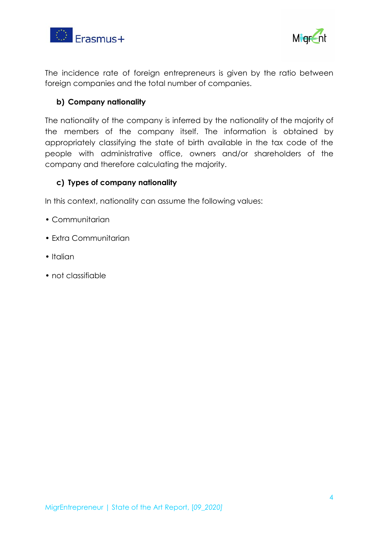



The incidence rate of foreign entrepreneurs is given by the ratio between foreign companies and the total number of companies.

### **b) Company nationality**

The nationality of the company is inferred by the nationality of the majority of the members of the company itself. The information is obtained by appropriately classifying the state of birth available in the tax code of the people with administrative office, owners and/or shareholders of the company and therefore calculating the majority.

# **c) Types of company nationality**

In this context, nationality can assume the following values:

- Communitarian
- Extra Communitarian
- Italian
- not classifiable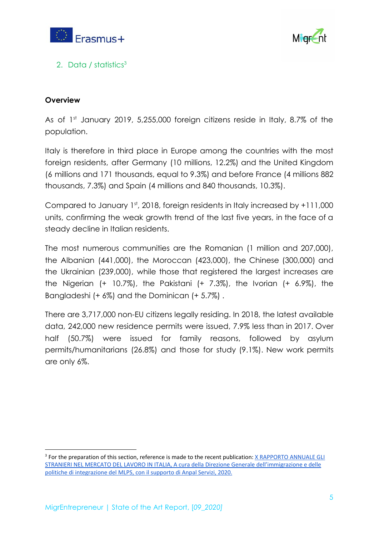



# 2. Data / statistics<sup>3</sup>

# **Overview**

As of  $1<sup>st</sup>$  January 2019, 5,255,000 foreign citizens reside in Italy, 8.7% of the population.

Italy is therefore in third place in Europe among the countries with the most foreign residents, after Germany (10 millions, 12.2%) and the United Kingdom (6 millions and 171 thousands, equal to 9.3%) and before France (4 millions 882 thousands, 7.3%) and Spain (4 millions and 840 thousands, 10.3%).

Compared to January 1st, 2018, foreign residents in Italy increased by +111,000 units, confirming the weak growth trend of the last five years, in the face of a steady decline in Italian residents.

The most numerous communities are the Romanian (1 million and 207,000), the Albanian (441,000), the Moroccan (423,000), the Chinese (300,000) and the Ukrainian (239,000), while those that registered the largest increases are the Nigerian (+ 10.7%), the Pakistani (+ 7.3%), the Ivorian (+ 6.9%), the Bangladeshi (+ 6%) and the Dominican (+ 5.7%) .

There are 3,717,000 non-EU citizens legally residing. In 2018, the latest available data, 242,000 new residence permits were issued, 7.9% less than in 2017. Over half (50.7%) were issued for family reasons, followed by asylum permits/humanitarians (26.8%) and those for study (9.1%). New work permits are only 6%.

<sup>&</sup>lt;sup>3</sup> For the preparation of this section, reference is made to the recent publication: X [RAPPORTO](http://www.integrazionemigranti.gov.it/Attualita/Approfondimenti/Pagine/X-Rapporto-annuale-Gli-stranieri-nel-mercato-del-lavoro-in-Italia-2020.aspx?fbclid=IwAR0rqRipiew5I6duiXhvvKRDB0isWBEQIMN-9GroG8PDPU_Rdtsb3916pwY) ANNUALE GLI STRANIERI NEL MERCATO DEL LAVORO IN ITALIA, A cura della Direzione Generale [dell'immigrazione](http://www.integrazionemigranti.gov.it/Attualita/Approfondimenti/Pagine/X-Rapporto-annuale-Gli-stranieri-nel-mercato-del-lavoro-in-Italia-2020.aspx?fbclid=IwAR0rqRipiew5I6duiXhvvKRDB0isWBEQIMN-9GroG8PDPU_Rdtsb3916pwY) e delle politiche di [integrazione](http://www.integrazionemigranti.gov.it/Attualita/Approfondimenti/Pagine/X-Rapporto-annuale-Gli-stranieri-nel-mercato-del-lavoro-in-Italia-2020.aspx?fbclid=IwAR0rqRipiew5I6duiXhvvKRDB0isWBEQIMN-9GroG8PDPU_Rdtsb3916pwY) del MLPS, con il supporto di Anpal Servizi, 2020.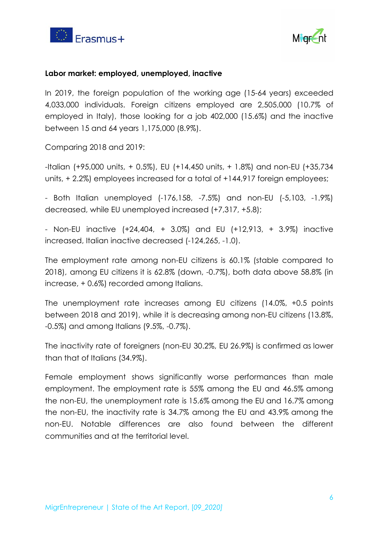



### **Labor market: employed, unemployed, inactive**

In 2019, the foreign population of the working age (15-64 years) exceeded 4,033,000 individuals. Foreign citizens employed are 2,505,000 (10.7% of employed in Italy), those looking for a job 402,000 (15.6%) and the inactive between 15 and 64 years 1,175,000 (8.9%).

Comparing 2018 and 2019:

-Italian (+95,000 units, + 0.5%), EU (+14,450 units, + 1.8%) and non-EU (+35,734 units, + 2.2%) employees increased for a total of +144,917 foreign employees;

- Both Italian unemployed (-176,158, -7.5%) and non-EU (-5,103, -1.9%) decreased, while EU unemployed increased (+7,317, +5.8);

- Non-EU inactive (+24,404, + 3.0%) and EU (+12,913, + 3.9%) inactive increased, Italian inactive decreased (-124,265, -1.0).

The employment rate among non-EU citizens is 60.1% (stable compared to 2018), among EU citizens it is 62.8% (down, -0.7%), both data above 58.8% (in increase, + 0.6%) recorded among Italians.

The unemployment rate increases among EU citizens (14.0%, +0.5 points between 2018 and 2019), while it is decreasing among non-EU citizens (13.8%, -0.5%) and among Italians (9.5%, -0.7%).

The inactivity rate of foreigners (non-EU 30.2%, EU 26.9%) is confirmed as lower than that of Italians (34.9%).

Female employment shows significantly worse performances than male employment. The employment rate is 55% among the EU and 46.5% among the non-EU, the unemployment rate is 15.6% among the EU and 16.7% among the non-EU, the inactivity rate is 34.7% among the EU and 43.9% among the non-EU. Notable differences are also found between the different communities and at the territorial level.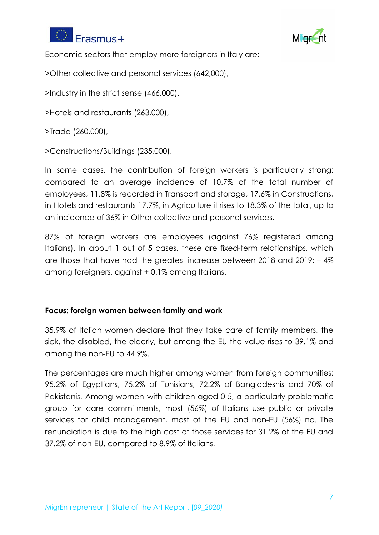



Economic sectors that employ more foreigners in Italy are:

>Other collective and personal services (642,000),

>Industry in the strict sense (466,000),

>Hotels and restaurants (263,000),

>Trade (260,000),

>Constructions/Buildings (235,000).

In some cases, the contribution of foreign workers is particularly strong: compared to an average incidence of 10.7% of the total number of employees, 11.8% is recorded in Transport and storage, 17.6% in Constructions, in Hotels and restaurants 17.7%, in Agriculture it rises to 18.3% of the total, up to an incidence of 36% in Other collective and personal services.

87% of foreign workers are employees (against 76% registered among Italians). In about 1 out of 5 cases, these are fixed-term relationships, which are those that have had the greatest increase between 2018 and 2019: + 4% among foreigners, against + 0.1% among Italians.

### **Focus: foreign women between family and work**

35.9% of Italian women declare that they take care of family members, the sick, the disabled, the elderly, but among the EU the value rises to 39.1% and among the non-EU to 44.9%.

The percentages are much higher among women from foreign communities: 95.2% of Egyptians, 75.2% of Tunisians, 72.2% of Bangladeshis and 70% of Pakistanis. Among women with children aged 0-5, a particularly problematic group for care commitments, most (56%) of Italians use public or private services for child management, most of the EU and non-EU (56%) no. The renunciation is due to the high cost of those services for 31.2% of the EU and 37.2% of non-EU, compared to 8.9% of Italians.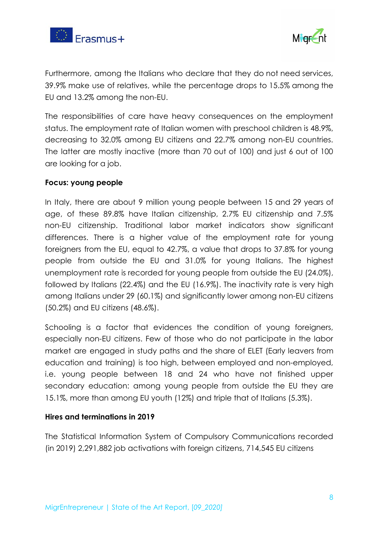



Furthermore, among the Italians who declare that they do not need services, 39.9% make use of relatives, while the percentage drops to 15.5% among the EU and 13.2% among the non-EU.

The responsibilities of care have heavy consequences on the employment status. The employment rate of Italian women with preschool children is 48.9%, decreasing to 32.0% among EU citizens and 22.7% among non-EU countries. The latter are mostly inactive (more than 70 out of 100) and just 6 out of 100 are looking for a job.

### **Focus: young people**

In Italy, there are about 9 million young people between 15 and 29 years of age, of these 89.8% have Italian citizenship, 2.7% EU citizenship and 7.5% non-EU citizenship. Traditional labor market indicators show significant differences. There is a higher value of the employment rate for young foreigners from the EU, equal to 42.7%, a value that drops to 37.8% for young people from outside the EU and 31.0% for young Italians. The highest unemployment rate is recorded for young people from outside the EU (24.0%), followed by Italians (22.4%) and the EU (16.9%). The inactivity rate is very high among Italians under 29 (60.1%) and significantly lower among non-EU citizens (50.2%) and EU citizens (48.6%).

Schooling is a factor that evidences the condition of young foreigners, especially non-EU citizens. Few of those who do not participate in the labor market are engaged in study paths and the share of ELET (Early leavers from education and training) is too high, between employed and non-employed, i.e. young people between 18 and 24 who have not finished upper secondary education: among young people from outside the EU they are 15.1%, more than among EU youth (12%) and triple that of Italians (5.3%).

### **Hires and terminations in 2019**

The Statistical Information System of Compulsory Communications recorded (in 2019) 2,291,882 job activations with foreign citizens, 714,545 EU citizens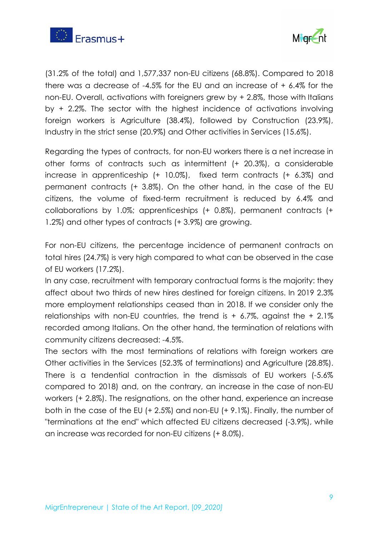



(31.2% of the total) and 1,577,337 non-EU citizens (68.8%). Compared to 2018 there was a decrease of -4.5% for the EU and an increase of + 6.4% for the non-EU. Overall, activations with foreigners grew by + 2.8%, those with Italians by + 2.2%. The sector with the highest incidence of activations involving foreign workers is Agriculture (38.4%), followed by Construction (23.9%), Industry in the strict sense (20.9%) and Other activities in Services (15.6%).

Regarding the types of contracts, for non-EU workers there is a net increase in other forms of contracts such as intermittent (+ 20.3%), a considerable increase in apprenticeship (+ 10.0%), fixed term contracts (+ 6.3%) and permanent contracts (+ 3.8%). On the other hand, in the case of the EU citizens, the volume of fixed-term recruitment is reduced by 6.4% and collaborations by 1.0%; apprenticeships (+ 0.8%), permanent contracts (+ 1.2%) and other types of contracts (+ 3.9%) are growing.

For non-EU citizens, the percentage incidence of permanent contracts on total hires (24.7%) is very high compared to what can be observed in the case of EU workers (17.2%).

In any case, recruitment with temporary contractual forms is the majority: they affect about two thirds of new hires destined for foreign citizens. In 2019 2.3% more employment relationships ceased than in 2018. If we consider only the relationships with non-EU countries, the trend is  $+$  6.7%, against the  $+$  2.1% recorded among Italians. On the other hand, the termination of relations with community citizens decreased: -4.5%.

The sectors with the most terminations of relations with foreign workers are Other activities in the Services (52.3% of terminations) and Agriculture (28.8%). There is a tendential contraction in the dismissals of EU workers (-5.6% compared to 2018) and, on the contrary, an increase in the case of non-EU workers (+ 2.8%). The resignations, on the other hand, experience an increase both in the case of the EU (+ 2.5%) and non-EU (+ 9.1%). Finally, the number of "terminations at the end" which affected EU citizens decreased (-3.9%), while an increase was recorded for non-EU citizens (+ 8.0%).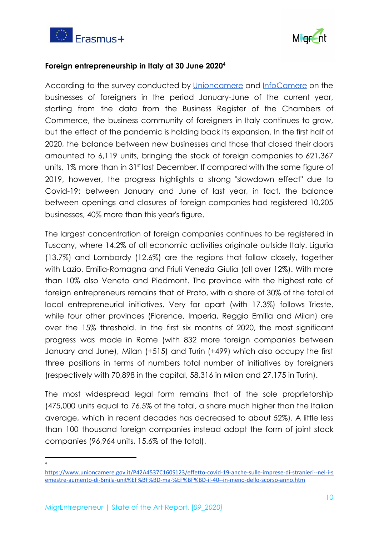



### **Foreign entrepreneurship in Italy at 30 June 2020<sup>4</sup>**

According to the survey conducted by [Unioncamere](https://www.unioncamere.gov.it/) and [InfoCamere](https://www.infocamere.it/) on the businesses of foreigners in the period January-June of the current year, starting from the data from the Business Register of the Chambers of Commerce, the business community of foreigners in Italy continues to grow, but the effect of the pandemic is holding back its expansion. In the first half of 2020, the balance between new businesses and those that closed their doors amounted to 6,119 units, bringing the stock of foreign companies to 621,367 units, 1% more than in 31st last December. If compared with the same figure of 2019, however, the progress highlights a strong "slowdown effect" due to Covid-19: between January and June of last year, in fact, the balance between openings and closures of foreign companies had registered 10,205 businesses, 40% more than this year's figure.

The largest concentration of foreign companies continues to be registered in Tuscany, where 14.2% of all economic activities originate outside Italy. Liguria (13.7%) and Lombardy (12.6%) are the regions that follow closely, together with Lazio, Emilia-Romagna and Friuli Venezia Giulia (all over 12%). With more than 10% also Veneto and Piedmont. The province with the highest rate of foreign entrepreneurs remains that of Prato, with a share of 30% of the total of local entrepreneurial initiatives. Very far apart (with 17.3%) follows Trieste, while four other provinces (Florence, Imperia, Reggio Emilia and Milan) are over the 15% threshold. In the first six months of 2020, the most significant progress was made in Rome (with 832 more foreign companies between January and June), Milan (+515) and Turin (+499) which also occupy the first three positions in terms of numbers total number of initiatives by foreigners (respectively with 70,898 in the capital, 58,316 in Milan and 27,175 in Turin).

The most widespread legal form remains that of the sole proprietorship (475,000 units equal to 76.5% of the total, a share much higher than the Italian average, which in recent decades has decreased to about 52%). A little less than 100 thousand foreign companies instead adopt the form of joint stock companies (96,964 units, 15.6% of the total).

<sup>4</sup>

https://www.unioncamere.gov.it/P42A4537C160S123/effetto-covid-19-anche-sulle-imprese-di-stranieri--nel-i-s emestre-aumento-di-6mila-unit%EF%BF%BD-ma-%EF%BF%BD-il-40--in-meno-dello-scorso-anno.htm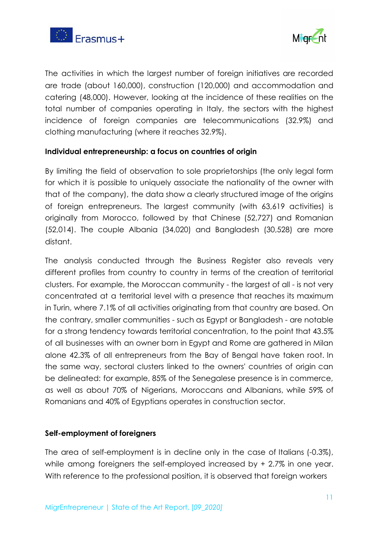



The activities in which the largest number of foreign initiatives are recorded are trade (about 160,000), construction (120,000) and accommodation and catering (48,000). However, looking at the incidence of these realities on the total number of companies operating in Italy, the sectors with the highest incidence of foreign companies are telecommunications (32.9%) and clothing manufacturing (where it reaches 32.9%).

### **Individual entrepreneurship: a focus on countries of origin**

By limiting the field of observation to sole proprietorships (the only legal form for which it is possible to uniquely associate the nationality of the owner with that of the company), the data show a clearly structured image of the origins of foreign entrepreneurs. The largest community (with 63,619 activities) is originally from Morocco, followed by that Chinese (52,727) and Romanian (52,014). The couple Albania (34,020) and Bangladesh (30,528) are more distant.

The analysis conducted through the Business Register also reveals very different profiles from country to country in terms of the creation of territorial clusters. For example, the Moroccan community - the largest of all - is not very concentrated at a territorial level with a presence that reaches its maximum in Turin, where 7.1% of all activities originating from that country are based. On the contrary, smaller communities - such as Egypt or Bangladesh - are notable for a strong tendency towards territorial concentration, to the point that 43.5% of all businesses with an owner born in Egypt and Rome are gathered in Milan alone 42.3% of all entrepreneurs from the Bay of Bengal have taken root. In the same way, sectoral clusters linked to the owners' countries of origin can be delineated: for example, 85% of the Senegalese presence is in commerce, as well as about 70% of Nigerians, Moroccans and Albanians, while 59% of Romanians and 40% of Egyptians operates in construction sector.

#### **Self-employment of foreigners**

The area of self-employment is in decline only in the case of Italians (-0.3%), while among foreigners the self-employed increased by + 2.7% in one year. With reference to the professional position, it is observed that foreign workers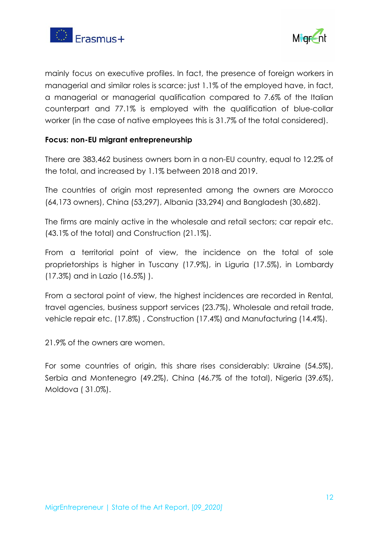



mainly focus on executive profiles. In fact, the presence of foreign workers in managerial and similar roles is scarce: just 1.1% of the employed have, in fact, a managerial or managerial qualification compared to 7.6% of the Italian counterpart and 77.1% is employed with the qualification of blue-collar worker (in the case of native employees this is 31.7% of the total considered).

### **Focus: non-EU migrant entrepreneurship**

There are 383,462 business owners born in a non-EU country, equal to 12.2% of the total, and increased by 1.1% between 2018 and 2019.

The countries of origin most represented among the owners are Morocco (64,173 owners), China (53,297), Albania (33,294) and Bangladesh (30,682).

The firms are mainly active in the wholesale and retail sectors; car repair etc. (43.1% of the total) and Construction (21.1%).

From a territorial point of view, the incidence on the total of sole proprietorships is higher in Tuscany (17.9%), in Liguria (17.5%), in Lombardy (17.3%) and in Lazio (16.5%) ).

From a sectoral point of view, the highest incidences are recorded in Rental, travel agencies, business support services (23.7%), Wholesale and retail trade, vehicle repair etc. (17.8%) , Construction (17.4%) and Manufacturing (14.4%).

21.9% of the owners are women.

For some countries of origin, this share rises considerably: Ukraine (54.5%), Serbia and Montenegro (49.2%), China (46.7% of the total), Nigeria (39.6%), Moldova ( 31.0%).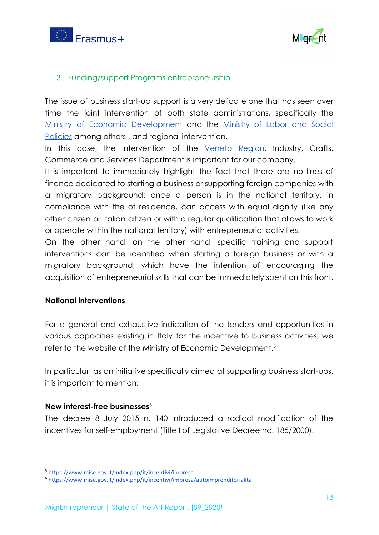



# 3. Funding/support Programs entrepreneurship

The issue of business start-up support is a very delicate one that has seen over time the joint intervention of both state administrations, specifically the Ministry of Economic [Development](https://www.mise.gov.it/index.php/en/) and the [Ministry](https://www.lavoro.gov.it/Pagine/default.aspx) of Labor and Social [Policies](https://www.lavoro.gov.it/Pagine/default.aspx) among others, and regional intervention.

In this case, the intervention of the [Veneto](https://www.regione.veneto.it/web/guest) Region, Industry, Crafts, Commerce and Services Department is important for our company.

It is important to immediately highlight the fact that there are no lines of finance dedicated to starting a business or supporting foreign companies with a migratory background: once a person is in the national territory, in compliance with the of residence, can access with equal dignity (like any other citizen or Italian citizen or with a regular qualification that allows to work or operate within the national territory) with entrepreneurial activities.

On the other hand, on the other hand, specific training and support interventions can be identified when starting a foreign business or with a migratory background, which have the intention of encouraging the acquisition of entrepreneurial skills that can be immediately spent on this front.

### **National interventions**

For a general and exhaustive indication of the tenders and opportunities in various capacities existing in Italy for the incentive to business activities, we refer to the website of the Ministry of Economic Development.<sup>5</sup>

In particular, as an initiative specifically aimed at supporting business start-ups, it is important to mention:

### **New interest-free businesses**<sup>6</sup>

The decree 8 July 2015 n. 140 introduced a radical modification of the incentives for self-employment (Title I of Legislative Decree no. 185/2000).

<sup>5</sup> https://www.mise.gov.it/index.php/it/incentivi/impresa

<sup>6</sup> https://www.mise.gov.it/index.php/it/incentivi/impresa/autoimprenditorialita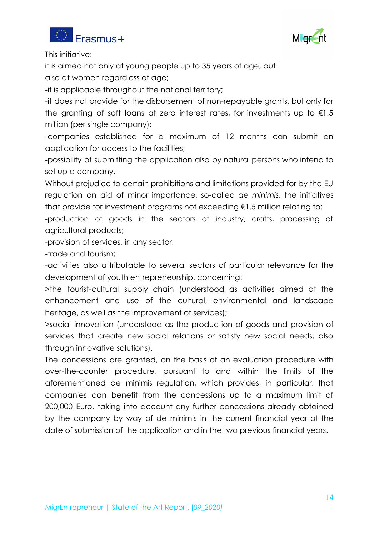



This initiative:

it is aimed not only at young people up to 35 years of age, but also at women regardless of age;

-it is applicable throughout the national territory;

-it does not provide for the disbursement of non-repayable grants, but only for the granting of soft loans at zero interest rates, for investments up to  $\epsilon$ 1.5 million (per single company);

-companies established for a maximum of 12 months can submit an application for access to the facilities;

-possibility of submitting the application also by natural persons who intend to set up a company.

Without prejudice to certain prohibitions and limitations provided for by the EU regulation on aid of minor importance, so-called *de minimis*, the initiatives that provide for investment programs not exceeding €1.5 million relating to:

-production of goods in the sectors of industry, crafts, processing of agricultural products;

-provision of services, in any sector;

-trade and tourism;

-activities also attributable to several sectors of particular relevance for the development of youth entrepreneurship, concerning:

>the tourist-cultural supply chain (understood as activities aimed at the enhancement and use of the cultural, environmental and landscape heritage, as well as the improvement of services);

>social innovation (understood as the production of goods and provision of services that create new social relations or satisfy new social needs, also through innovative solutions).

The concessions are granted, on the basis of an evaluation procedure with over-the-counter procedure, pursuant to and within the limits of the aforementioned de minimis regulation, which provides, in particular, that companies can benefit from the concessions up to a maximum limit of 200,000 Euro, taking into account any further concessions already obtained by the company by way of de minimis in the current financial year at the date of submission of the application and in the two previous financial years.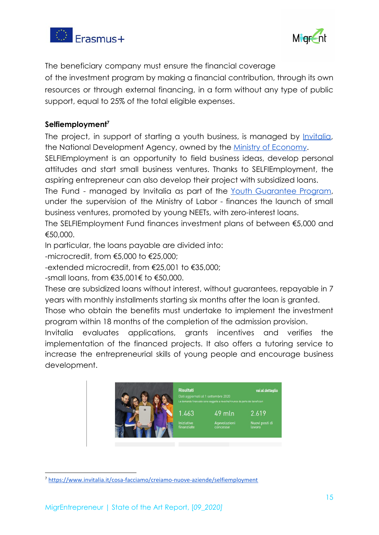



The beneficiary company must ensure the financial coverage

of the investment program by making a financial contribution, through its own resources or through external financing, in a form without any type of public support, equal to 25% of the total eligible expenses.

# **Selfiemployment<sup>7</sup>**

The project, in support of starting a youth business, is managed by *Invitalia*, the National Development Agency, owned by the [Ministry of Economy.](https://www.mef.gov.it/index.html)

SELFIEmployment is an opportunity to field business ideas, develop personal attitudes and start small business ventures. Thanks to SELFIEmployment, the aspiring entrepreneur can also develop their project with subsidized loans.

The Fund - managed by Invitalia as part of the Youth [Guarantee](http://www.garanziagiovani.gov.it/Pagine/default.aspx) Program, under the supervision of the Ministry of Labor - finances the launch of small business ventures, promoted by young NEETs, with zero-interest loans.

The SELFIEmployment Fund finances investment plans of between €5,000 and €50,000.

In particular, the loans payable are divided into:

-microcredit, from €5,000 to €25,000;

-extended microcredit, from €25,001 to €35,000;

-small loans, from €35,001€ to €50,000.

These are subsidized loans without interest, without guarantees, repayable in 7 years with monthly installments starting six months after the loan is granted.

Those who obtain the benefits must undertake to implement the investment program within 18 months of the completion of the admission provision.

Invitalia evaluates applications, grants incentives and verifies the implementation of the financed projects. It also offers a tutoring service to increase the entrepreneurial skills of young people and encourage business development.



<sup>7</sup> https://www.invitalia.it/cosa-facciamo/creiamo-nuove-aziende/selfiemployment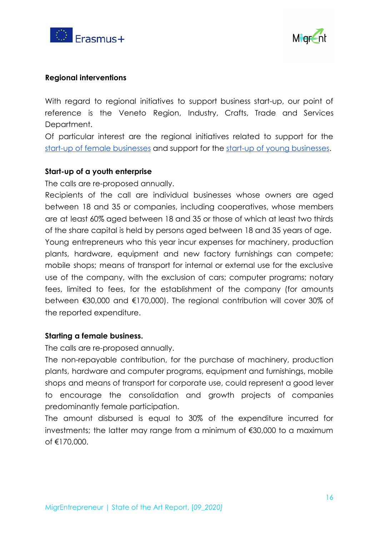



### **Regional interventions**

With regard to regional initiatives to support business start-up, our point of reference is the Veneto Region, Industry, Crafts, Trade and Services Department.

Of particular interest are the regional initiatives related to support for the [start-up of female businesses](https://www.regione.veneto.it/web/rete-degli-urp-del-veneto/imprenditoria-femminile) and support for the [start-up of young businesses](https://www.regione.veneto.it/web/rete-degli-urp-del-veneto/imprenditoria-giovanile).

#### **Start-up of a youth enterprise**

The calls are re-proposed annually.

Recipients of the call are individual businesses whose owners are aged between 18 and 35 or companies, including cooperatives, whose members are at least 60% aged between 18 and 35 or those of which at least two thirds of the share capital is held by persons aged between 18 and 35 years of age. Young entrepreneurs who this year incur expenses for machinery, production plants, hardware, equipment and new factory furnishings can compete; mobile shops; means of transport for internal or external use for the exclusive use of the company, with the exclusion of cars; computer programs; notary fees, limited to fees, for the establishment of the company (for amounts between €30,000 and €170,000). The regional contribution will cover 30% of the reported expenditure.

#### **Starting a female business.**

The calls are re-proposed annually.

The non-repayable contribution, for the purchase of machinery, production plants, hardware and computer programs, equipment and furnishings, mobile shops and means of transport for corporate use, could represent a good lever to encourage the consolidation and growth projects of companies predominantly female participation.

The amount disbursed is equal to 30% of the expenditure incurred for investments; the latter may range from a minimum of €30,000 to a maximum of €170,000.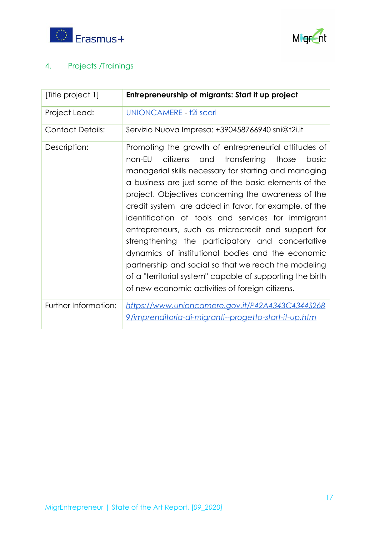



# 4. Projects /Trainings

| [Title project 1]       | Entrepreneurship of migrants: Start it up project                                                                                                                                                                                                                                                                                                                                                                                                                                                                                                                                                                                                                                                                                                  |
|-------------------------|----------------------------------------------------------------------------------------------------------------------------------------------------------------------------------------------------------------------------------------------------------------------------------------------------------------------------------------------------------------------------------------------------------------------------------------------------------------------------------------------------------------------------------------------------------------------------------------------------------------------------------------------------------------------------------------------------------------------------------------------------|
| Project Lead:           | <u> UNIONCAMERE - †2i scarl</u>                                                                                                                                                                                                                                                                                                                                                                                                                                                                                                                                                                                                                                                                                                                    |
| <b>Contact Details:</b> | Servizio Nuova Impresa: +390458766940 sni@t2i.it                                                                                                                                                                                                                                                                                                                                                                                                                                                                                                                                                                                                                                                                                                   |
| Description:            | Promoting the growth of entrepreneurial attitudes of<br>non-EU<br>citizens<br>transferring<br>those<br>and<br>basic<br>managerial skills necessary for starting and managing<br>a business are just some of the basic elements of the<br>project. Objectives concerning the awareness of the<br>credit system are added in favor, for example, of the<br>identification of tools and services for immigrant<br>entrepreneurs, such as microcredit and support for<br>strengthening the participatory and concertative<br>dynamics of institutional bodies and the economic<br>partnership and social so that we reach the modeling<br>of a "territorial system" capable of supporting the birth<br>of new economic activities of foreign citizens. |
| Further Information:    | https://www.unioncamere.gov.it/P42A4343C4344S268<br><u>9/imprenditoria-di-migranti--progetto-start-it-up.htm</u>                                                                                                                                                                                                                                                                                                                                                                                                                                                                                                                                                                                                                                   |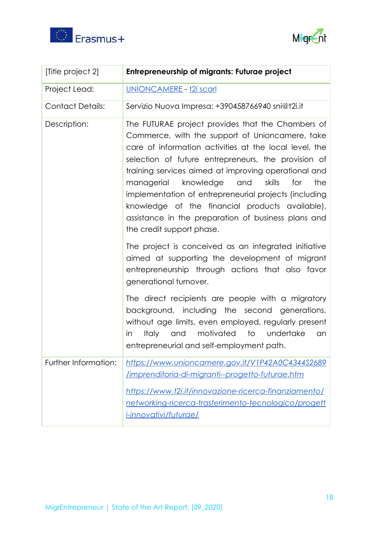



| [Title project 2]       | <b>Entrepreneurship of migrants: Futurae project</b>                                                                                                                                                                                                                                                                                                                                                                                                                                                                                    |
|-------------------------|-----------------------------------------------------------------------------------------------------------------------------------------------------------------------------------------------------------------------------------------------------------------------------------------------------------------------------------------------------------------------------------------------------------------------------------------------------------------------------------------------------------------------------------------|
| Project Lead:           | UNIONCAMERE - t2i scarl                                                                                                                                                                                                                                                                                                                                                                                                                                                                                                                 |
| <b>Contact Details:</b> | Servizio Nuova Impresa: +390458766940 sni@t2i.it                                                                                                                                                                                                                                                                                                                                                                                                                                                                                        |
| Description:            | The FUTURAE project provides that the Chambers of<br>Commerce, with the support of Unioncamere, take<br>care of information activities at the local level, the<br>selection of future entrepreneurs, the provision of<br>training services aimed at improving operational and<br>knowledge<br>skills<br>for<br>the<br>managerial<br>and<br>implementation of entrepreneurial projects (including<br>knowledge of the financial products available),<br>assistance in the preparation of business plans and<br>the credit support phase. |
|                         | The project is conceived as an integrated initiative<br>aimed at supporting the development of migrant<br>entrepreneurship through actions that also favor<br>generational turnover.                                                                                                                                                                                                                                                                                                                                                    |
|                         | The direct recipients are people with a migratory<br>background, including the second generations,<br>without age limits, even employed, regularly present<br>motivated<br>undertake<br>in<br><b>Italy</b><br>to<br>and<br>an<br>entrepreneurial and self-employment path.                                                                                                                                                                                                                                                              |
| Further Information:    | https://www.unioncamere.gov.it/V1P42A0C4344S2689<br>/imprenditoria-di-migranti--progetto-futurae.htm<br><u>https://www.t2i.it/innovazione-ricerca-finanziamento/</u><br>networking-ricerca-trasferimento-tecnologico/progett<br><i>i-innovativi/futurae/</i>                                                                                                                                                                                                                                                                            |